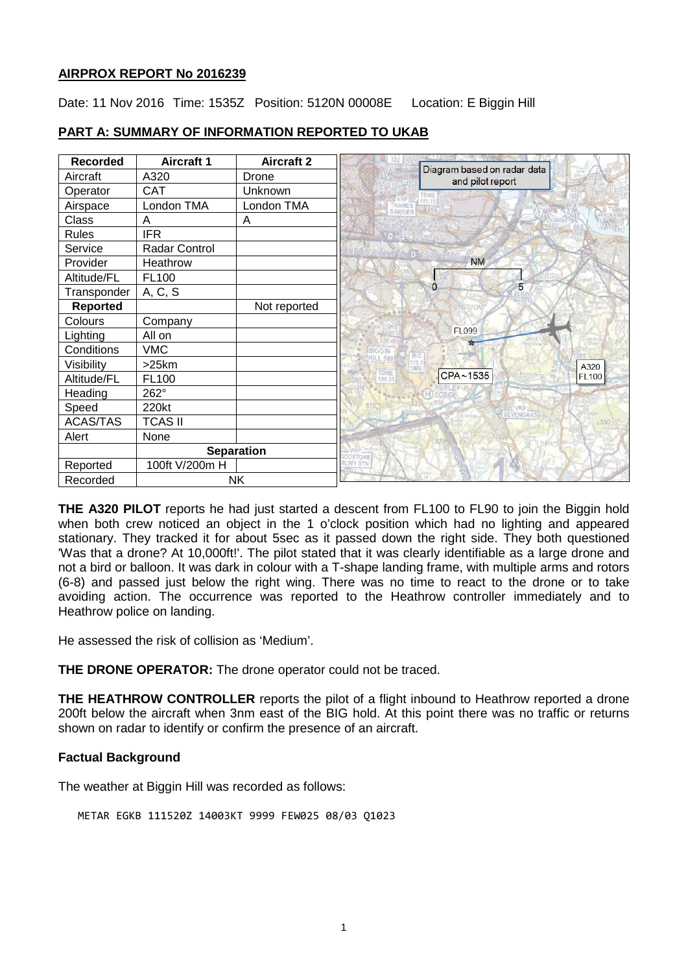### **AIRPROX REPORT No 2016239**

Date: 11 Nov 2016 Time: 1535Z Position: 5120N 00008E Location: E Biggin Hill

| <b>Recorded</b> | <b>Aircraft 1</b> | <b>Aircraft 2</b> |                                                   |
|-----------------|-------------------|-------------------|---------------------------------------------------|
| Aircraft        | A320              | Drone             | Diagram based on radar data<br>and pilot report   |
| Operator        | CAT               | Unknown           | TDME                                              |
| Airspace        | London TMA        | London TMA        | THAMES<br>4456<br>BARRIER                         |
| Class           | A                 | A                 |                                                   |
| <b>Rules</b>    | <b>IFR</b>        |                   |                                                   |
| Service         | Radar Control     |                   | <b>NDON/CITY CITA</b>                             |
| Provider        | Heathrow          |                   | <b>NM</b>                                         |
| Altitude/FL     | FL100             |                   |                                                   |
| Transponder     | A, C, S           |                   | 5<br>0                                            |
| Reported        |                   | Not reported      | NGTO                                              |
| Colours         | Company           |                   |                                                   |
| Lighting        | All on            |                   | <b>FL099</b>                                      |
| Conditions      | <b>VMC</b>        |                   | <b>BIGGIN</b><br>599                              |
| Visibility      | >25km             |                   | A320                                              |
| Altitude/FL     | FL100             |                   | <b>TOME</b><br>CPA~1535<br><b>FL100</b><br>109.35 |
| Heading         | 262°              |                   |                                                   |
| Speed           | 220kt             |                   | SEVENGAKS                                         |
| <b>ACAS/TAS</b> | <b>TCAS II</b>    |                   | .550                                              |
| Alert           | None              |                   | 820                                               |
|                 | <b>Separation</b> |                   |                                                   |
| Reported        | 100ft V/200m H    |                   | <b>RLWY STN</b>                                   |
| Recorded        | <b>NK</b>         |                   |                                                   |

# **PART A: SUMMARY OF INFORMATION REPORTED TO UKAB**

**THE A320 PILOT** reports he had just started a descent from FL100 to FL90 to join the Biggin hold when both crew noticed an object in the 1 o'clock position which had no lighting and appeared stationary. They tracked it for about 5sec as it passed down the right side. They both questioned 'Was that a drone? At 10,000ft!'. The pilot stated that it was clearly identifiable as a large drone and not a bird or balloon. It was dark in colour with a T-shape landing frame, with multiple arms and rotors (6-8) and passed just below the right wing. There was no time to react to the drone or to take avoiding action. The occurrence was reported to the Heathrow controller immediately and to Heathrow police on landing.

He assessed the risk of collision as 'Medium'.

**THE DRONE OPERATOR:** The drone operator could not be traced.

**THE HEATHROW CONTROLLER** reports the pilot of a flight inbound to Heathrow reported a drone 200ft below the aircraft when 3nm east of the BIG hold. At this point there was no traffic or returns shown on radar to identify or confirm the presence of an aircraft.

### **Factual Background**

The weather at Biggin Hill was recorded as follows:

METAR EGKB 111520Z 14003KT 9999 FEW025 08/03 Q1023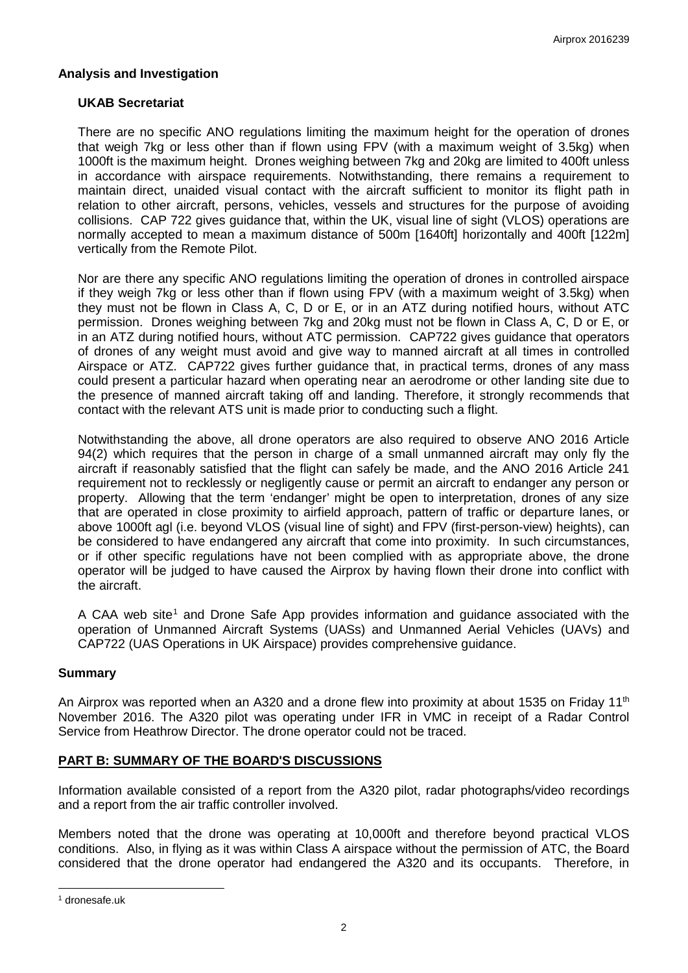### **Analysis and Investigation**

# **UKAB Secretariat**

There are no specific ANO regulations limiting the maximum height for the operation of drones that weigh 7kg or less other than if flown using FPV (with a maximum weight of 3.5kg) when 1000ft is the maximum height. Drones weighing between 7kg and 20kg are limited to 400ft unless in accordance with airspace requirements. Notwithstanding, there remains a requirement to maintain direct, unaided visual contact with the aircraft sufficient to monitor its flight path in relation to other aircraft, persons, vehicles, vessels and structures for the purpose of avoiding collisions. CAP 722 gives guidance that, within the UK, visual line of sight (VLOS) operations are normally accepted to mean a maximum distance of 500m [1640ft] horizontally and 400ft [122m] vertically from the Remote Pilot.

Nor are there any specific ANO regulations limiting the operation of drones in controlled airspace if they weigh 7kg or less other than if flown using FPV (with a maximum weight of 3.5kg) when they must not be flown in Class A, C, D or E, or in an ATZ during notified hours, without ATC permission. Drones weighing between 7kg and 20kg must not be flown in Class A, C, D or E, or in an ATZ during notified hours, without ATC permission. CAP722 gives guidance that operators of drones of any weight must avoid and give way to manned aircraft at all times in controlled Airspace or ATZ. CAP722 gives further guidance that, in practical terms, drones of any mass could present a particular hazard when operating near an aerodrome or other landing site due to the presence of manned aircraft taking off and landing. Therefore, it strongly recommends that contact with the relevant ATS unit is made prior to conducting such a flight.

Notwithstanding the above, all drone operators are also required to observe ANO 2016 Article 94(2) which requires that the person in charge of a small unmanned aircraft may only fly the aircraft if reasonably satisfied that the flight can safely be made, and the ANO 2016 Article 241 requirement not to recklessly or negligently cause or permit an aircraft to endanger any person or property. Allowing that the term 'endanger' might be open to interpretation, drones of any size that are operated in close proximity to airfield approach, pattern of traffic or departure lanes, or above 1000ft agl (i.e. beyond VLOS (visual line of sight) and FPV (first-person-view) heights), can be considered to have endangered any aircraft that come into proximity. In such circumstances, or if other specific regulations have not been complied with as appropriate above, the drone operator will be judged to have caused the Airprox by having flown their drone into conflict with the aircraft.

A CAA web site<sup>[1](#page-1-0)</sup> and Drone Safe App provides information and guidance associated with the operation of Unmanned Aircraft Systems (UASs) and Unmanned Aerial Vehicles (UAVs) and CAP722 (UAS Operations in UK Airspace) provides comprehensive guidance.

### **Summary**

An Airprox was reported when an A320 and a drone flew into proximity at about 1535 on Friday 11<sup>th</sup> November 2016. The A320 pilot was operating under IFR in VMC in receipt of a Radar Control Service from Heathrow Director. The drone operator could not be traced.

### **PART B: SUMMARY OF THE BOARD'S DISCUSSIONS**

Information available consisted of a report from the A320 pilot, radar photographs/video recordings and a report from the air traffic controller involved.

Members noted that the drone was operating at 10,000ft and therefore beyond practical VLOS conditions. Also, in flying as it was within Class A airspace without the permission of ATC, the Board considered that the drone operator had endangered the A320 and its occupants. Therefore, in

 $\overline{\phantom{a}}$ 

<span id="page-1-0"></span><sup>1</sup> dronesafe.uk